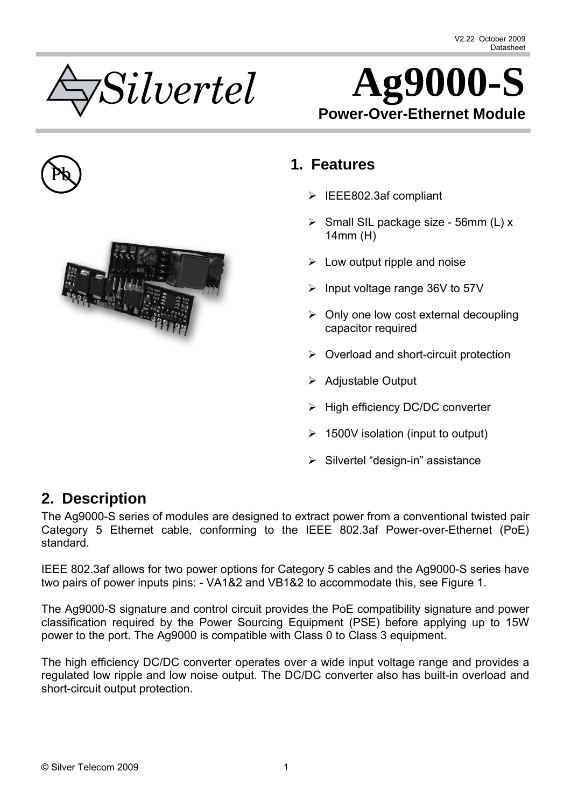



<span id="page-0-0"></span>



## Pb **1. Features**

- $\triangleright$  IEEE802.3af compliant
- $\triangleright$  Small SIL package size 56mm (L) x 14mm (H)
- $\triangleright$  Low output ripple and noise
- $\triangleright$  Input voltage range 36V to 57V
- $\triangleright$  Only one low cost external decoupling capacitor required
- $\triangleright$  Overload and short-circuit protection
- $\triangleright$  Adjustable Output
- $\triangleright$  High efficiency DC/DC converter
- $\geq 1500V$  isolation (input to output)
- $\triangleright$  Silvertel "design-in" assistance

## <span id="page-0-1"></span>**2. Description**

The Ag9000-S series of modules are designed to extract power from a conventional twisted pair Category 5 Ethernet cable, conforming to the IEEE 802.3af Power-over-Ethernet (PoE) standard.

IEEE 802.3af allows for two power options for Category 5 cables and the Ag9000-S series have two pairs of power inputs pins: - VA1&2 and VB1&2 to accommodate this, see Figure 1.

The Ag9000-S signature and control circuit provides the PoE compatibility signature and power classification required by the Power Sourcing Equipment (PSE) before applying up to 15W power to the port. The Ag9000 is compatible with Class 0 to Class 3 equipment.

The high efficiency DC/DC converter operates over a wide input voltage range and provides a regulated low ripple and low noise output. The DC/DC converter also has built-in overload and short-circuit output protection.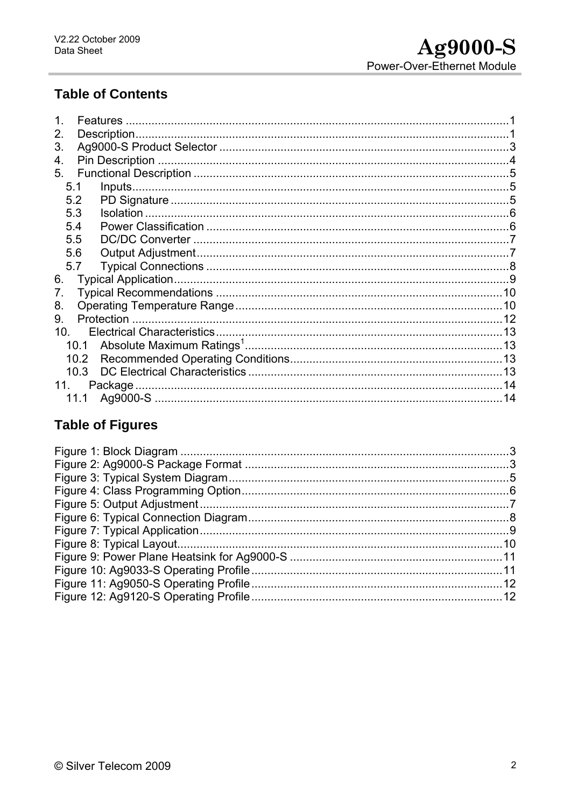## **Table of Contents**

| <b>Features</b>          |  |
|--------------------------|--|
| <b>Description</b><br>2. |  |
| 3.                       |  |
| 4.                       |  |
| 5.                       |  |
| 5.1                      |  |
| 5.2                      |  |
| 5.3                      |  |
| 5.4                      |  |
| 5.5                      |  |
| 5.6                      |  |
| 5.7                      |  |
| 6.                       |  |
| 7.                       |  |
| 8.                       |  |
| 9.                       |  |
| 10 <sub>1</sub>          |  |
|                          |  |
| 10.2                     |  |
| 10.3                     |  |
| 11.<br>Package           |  |
| 11.1                     |  |

# **Table of Figures**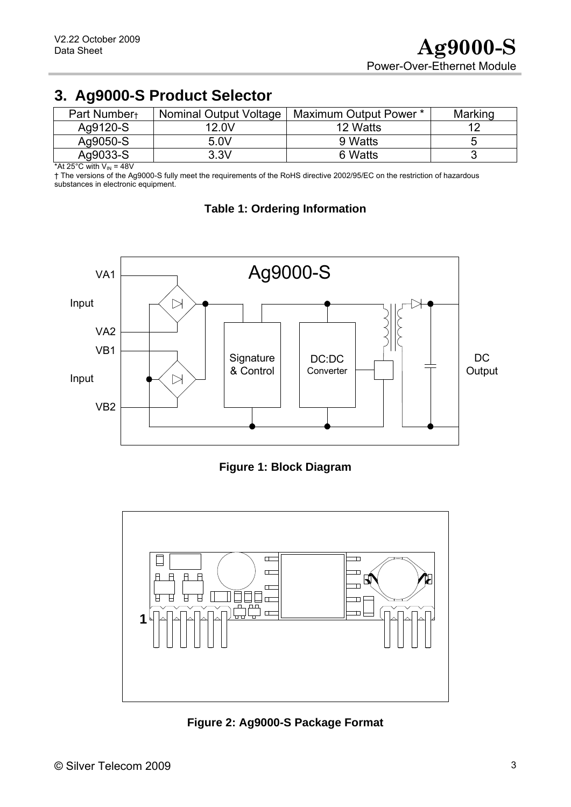<span id="page-2-0"></span>

| <b>J. Agyouu-O'T Tuduct Selectul</b> |                        |                        |         |  |  |  |  |
|--------------------------------------|------------------------|------------------------|---------|--|--|--|--|
| Part Number+                         | Nominal Output Voltage | Maximum Output Power * | Marking |  |  |  |  |
| Ag9120-S                             | 12.0V                  | 12 Watts               | 12      |  |  |  |  |
| Ag9050-S                             | 5.0V                   | 9 Watts                | O       |  |  |  |  |
| Ag9033-S                             | 3.3V                   | 6 Watts                |         |  |  |  |  |

# **3. Ag9000-S Product Selector**

\*At 25 $^{\circ}$ C with  $V_{IN}$  = 48V

<span id="page-2-3"></span>† The versions of the Ag9000-S fully meet the requirements of the RoHS directive 2002/95/EC on the restriction of hazardous substances in electronic equipment.



#### **Table 1: Ordering Information**



<span id="page-2-1"></span>

<span id="page-2-2"></span>**Figure 2: Ag9000-S Package Format**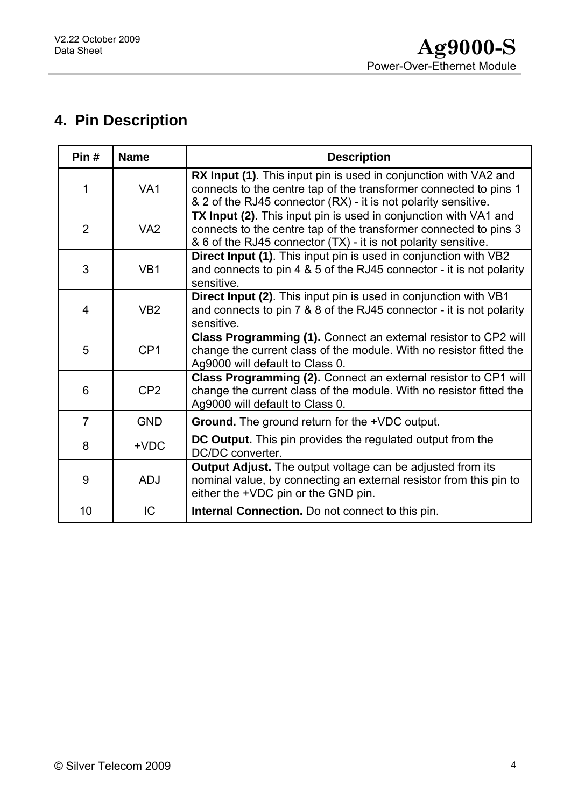# <span id="page-3-0"></span>**4. Pin Description**

| Pin#           | <b>Name</b>     | <b>Description</b>                                                                                                                                                                                      |
|----------------|-----------------|---------------------------------------------------------------------------------------------------------------------------------------------------------------------------------------------------------|
| 1              | VA <sub>1</sub> | RX Input (1). This input pin is used in conjunction with VA2 and<br>connects to the centre tap of the transformer connected to pins 1<br>& 2 of the RJ45 connector (RX) - it is not polarity sensitive. |
| $\overline{2}$ | VA <sub>2</sub> | TX Input (2). This input pin is used in conjunction with VA1 and<br>connects to the centre tap of the transformer connected to pins 3<br>& 6 of the RJ45 connector (TX) - it is not polarity sensitive. |
| 3              | VB <sub>1</sub> | Direct Input (1). This input pin is used in conjunction with VB2<br>and connects to pin 4 & 5 of the RJ45 connector - it is not polarity<br>sensitive.                                                  |
| 4              | VB <sub>2</sub> | Direct Input (2). This input pin is used in conjunction with VB1<br>and connects to pin 7 & 8 of the RJ45 connector - it is not polarity<br>sensitive.                                                  |
| 5              | CP <sub>1</sub> | Class Programming (1). Connect an external resistor to CP2 will<br>change the current class of the module. With no resistor fitted the<br>Ag9000 will default to Class 0.                               |
| 6              | CP <sub>2</sub> | Class Programming (2). Connect an external resistor to CP1 will<br>change the current class of the module. With no resistor fitted the<br>Ag9000 will default to Class 0.                               |
| $\overline{7}$ | <b>GND</b>      | <b>Ground.</b> The ground return for the +VDC output.                                                                                                                                                   |
| 8              | $+VDC$          | <b>DC Output.</b> This pin provides the regulated output from the<br>DC/DC converter.                                                                                                                   |
| 9              | <b>ADJ</b>      | <b>Output Adjust.</b> The output voltage can be adjusted from its<br>nominal value, by connecting an external resistor from this pin to<br>either the +VDC pin or the GND pin.                          |
| 10             | IC              | <b>Internal Connection.</b> Do not connect to this pin.                                                                                                                                                 |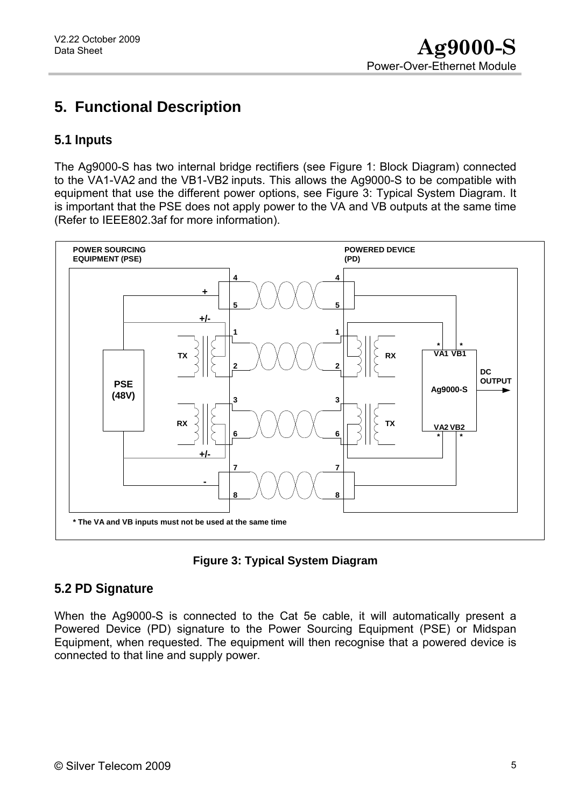# <span id="page-4-0"></span>**5. Functional Description**

### <span id="page-4-1"></span>**5.1 Inputs**

The Ag9000-S has two internal bridge rectifiers (see [Figure 1: Block Diagram](#page-2-1)) connected to the VA1-VA2 and the VB1-VB2 inputs. This allows the Ag9000-S to be compatible with equipment that use the different power options, see [Figure 3: Typical System Diagram](#page-4-3). It is important that the PSE does not apply power to the VA and VB outputs at the same time (Refer to IEEE802.3af for more information).





### <span id="page-4-3"></span><span id="page-4-2"></span>**5.2 PD Signature**

When the Ag9000-S is connected to the Cat 5e cable, it will automatically present a Powered Device (PD) signature to the Power Sourcing Equipment (PSE) or Midspan Equipment, when requested. The equipment will then recognise that a powered device is connected to that line and supply power.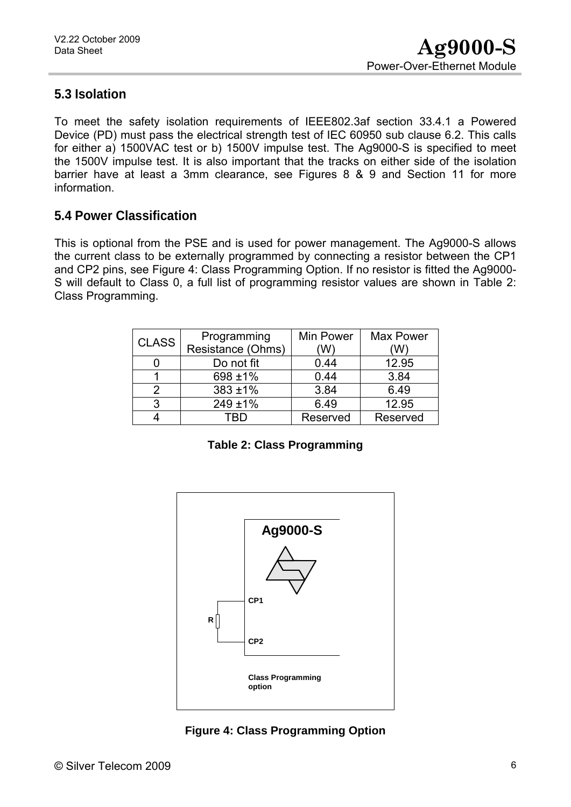### <span id="page-5-0"></span>**5.3 Isolation**

To meet the safety isolation requirements of IEEE802.3af section 33.4.1 a Powered Device (PD) must pass the electrical strength test of IEC 60950 sub clause 6.2. This calls for either a) 1500VAC test or b) 1500V impulse test. The Ag9000-S is specified to meet the 1500V impulse test. It is also important that the tracks on either side of the isolation barrier have at least a 3mm clearance, see Figures 8 & 9 and Section 11 for more information.

### <span id="page-5-1"></span>**5.4 Power Classification**

This is optional from the PSE and is used for power management. The Ag9000-S allows the current class to be externally programmed by connecting a resistor between the CP1 and CP2 pins, see [Figure 4: Class Programming Option](#page-5-2). If no resistor is fitted the Ag9000- S will default to Class 0, a full list of programming resistor values are shown in [Table 2:](#page-5-3)  [Class Programming](#page-5-3).

| <b>CLASS</b> | Programming       | Min Power | <b>Max Power</b> |  |
|--------------|-------------------|-----------|------------------|--|
|              | Resistance (Ohms) |           |                  |  |
|              | Do not fit        | 0.44      | 12.95            |  |
|              | 698 ±1%           | 0.44      | 3.84             |  |
| 2            | $383 + 1\%$       | 3.84      | 6.49             |  |
| 3            | 249 ±1%           | 6.49      | 12.95            |  |
|              |                   | Reserved  | Reserved         |  |

**Table 2: Class Programming** 

<span id="page-5-3"></span>

<span id="page-5-2"></span>**Figure 4: Class Programming Option**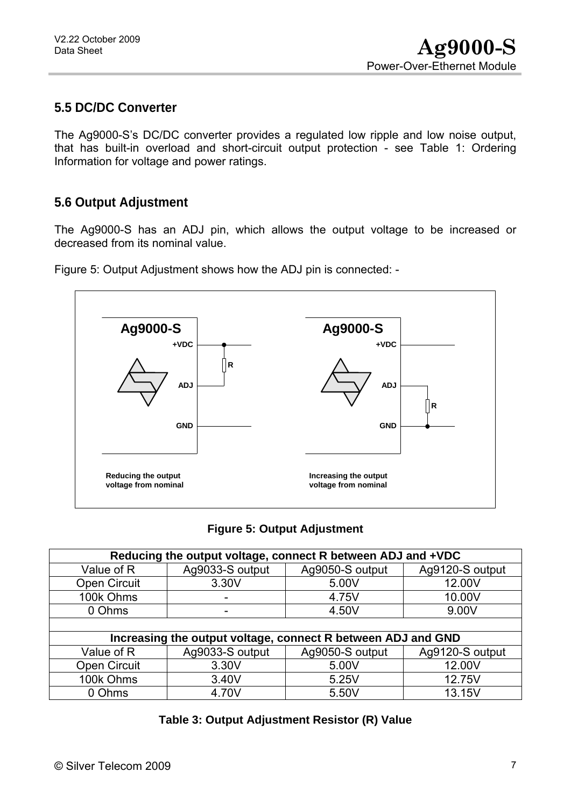### <span id="page-6-0"></span>**5.5 DC/DC Converter**

The Ag9000-S's DC/DC converter provides a regulated low ripple and low noise output, that has built-in overload and short-circuit output protection - see [Table 1: Ordering](#page-2-3)  [Information](#page-2-3) for voltage and power ratings.

### <span id="page-6-1"></span>**5.6 Output Adjustment**

The Ag9000-S has an ADJ pin, which allows the output voltage to be increased or decreased from its nominal value.

Figure 5: Output Adjustment shows how the ADJ pin is connected: -



#### **Figure 5: Output Adjustment**

<span id="page-6-2"></span>

| Reducing the output voltage, connect R between ADJ and +VDC |                 |                                                              |                 |  |  |  |
|-------------------------------------------------------------|-----------------|--------------------------------------------------------------|-----------------|--|--|--|
| Value of R                                                  | Ag9033-S output | Ag9050-S output                                              | Ag9120-S output |  |  |  |
| Open Circuit                                                | 3.30V           | 5.00V                                                        | 12.00V          |  |  |  |
| 100k Ohms                                                   |                 | 4.75V                                                        | 10.00V          |  |  |  |
| 0 Ohms                                                      | -               | 4.50V                                                        | 9.00V           |  |  |  |
|                                                             |                 |                                                              |                 |  |  |  |
|                                                             |                 | Increasing the output voltage, connect R between ADJ and GND |                 |  |  |  |
| Value of R                                                  | Ag9033-S output | Ag9050-S output                                              | Ag9120-S output |  |  |  |
| Open Circuit                                                | 3.30V           | 5.00V                                                        | 12.00V          |  |  |  |
| 100k Ohms                                                   | 3.40V           | 5.25V                                                        | 12.75V          |  |  |  |
| 0 Ohms                                                      | 4.70V           | 5.50V                                                        | 13.15V          |  |  |  |

|  | Table 3: Output Adjustment Resistor (R) Value |  |
|--|-----------------------------------------------|--|
|--|-----------------------------------------------|--|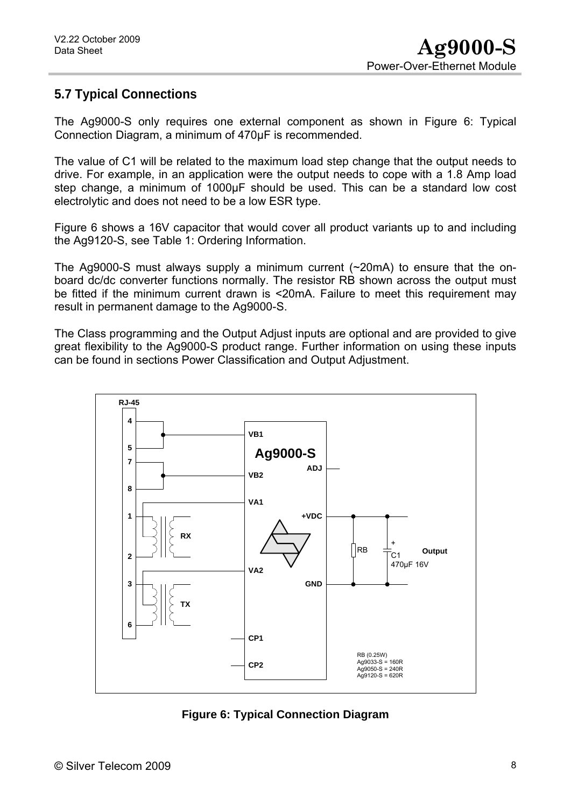### <span id="page-7-0"></span>**5.7 Typical Connections**

The Ag9000-S only requires one external component as shown in Figure 6: Typical Connection Diagram, a minimum of 470µF is recommended.

The value of C1 will be related to the maximum load step change that the output needs to drive. For example, in an application were the output needs to cope with a 1.8 Amp load step change, a minimum of 1000µF should be used. This can be a standard low cost electrolytic and does not need to be a low ESR type.

Figure 6 shows a 16V capacitor that would cover all product variants up to and including the Ag9120-S, see Table 1: Ordering Information.

The Ag9000-S must always supply a minimum current (~20mA) to ensure that the onboard dc/dc converter functions normally. The resistor RB shown across the output must be fitted if the minimum current drawn is <20mA. Failure to meet this requirement may result in permanent damage to the Ag9000-S.

The Class programming and the Output Adjust inputs are optional and are provided to give great flexibility to the Ag9000-S product range. Further information on using these inputs can be found in sections Power Classification and Output Adjustment.



<span id="page-7-1"></span>**Figure 6: Typical Connection Diagram**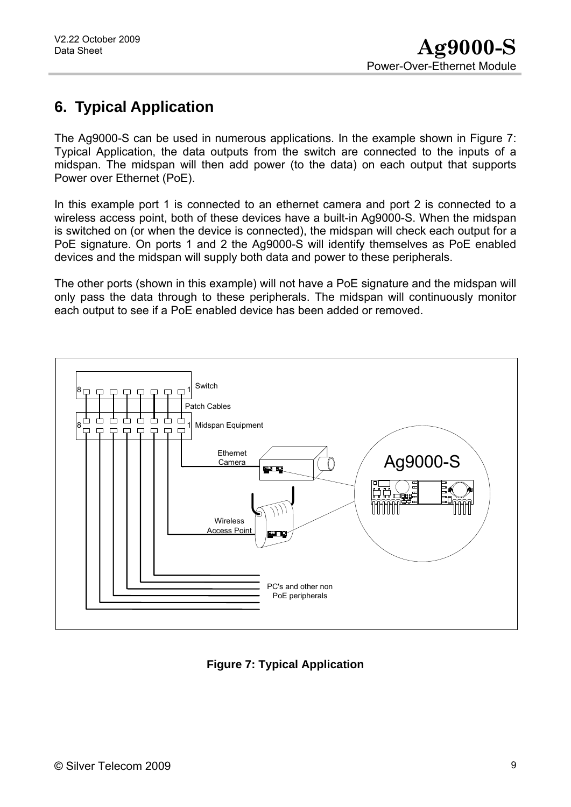# <span id="page-8-0"></span>**6. Typical Application**

The Ag9000-S can be used in numerous applications. In the example shown in Figure 7: Typical Application, the data outputs from the switch are connected to the inputs of a midspan. The midspan will then add power (to the data) on each output that supports Power over Ethernet (PoE).

In this example port 1 is connected to an ethernet camera and port 2 is connected to a wireless access point, both of these devices have a built-in Ag9000-S. When the midspan is switched on (or when the device is connected), the midspan will check each output for a PoE signature. On ports 1 and 2 the Ag9000-S will identify themselves as PoE enabled devices and the midspan will supply both data and power to these peripherals.

The other ports (shown in this example) will not have a PoE signature and the midspan will only pass the data through to these peripherals. The midspan will continuously monitor each output to see if a PoE enabled device has been added or removed.



<span id="page-8-1"></span>**Figure 7: Typical Application**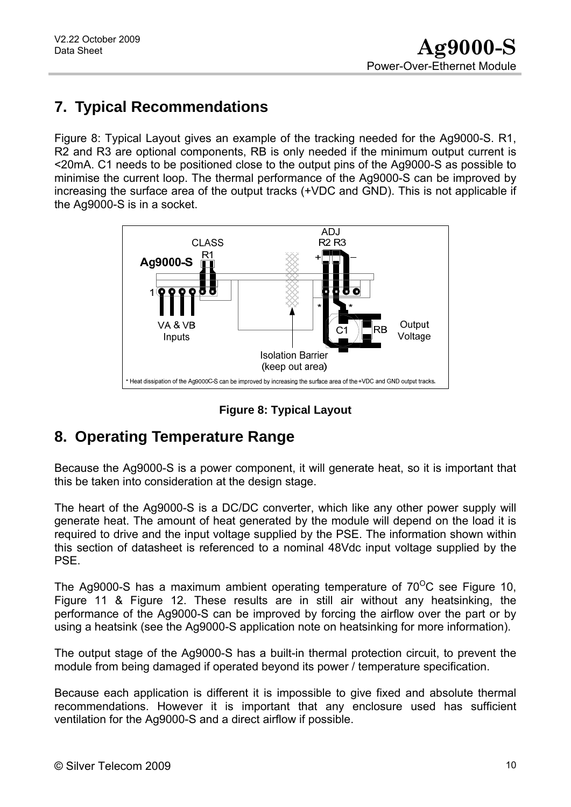# <span id="page-9-0"></span>**7. Typical Recommendations**

Figure 8: Typical Layout gives an example of the tracking needed for the Ag9000-S. R1, R2 and R3 are optional components, RB is only needed if the minimum output current is <20mA. C1 needs to be positioned close to the output pins of the Ag9000-S as possible to minimise the current loop. The thermal performance of the Ag9000-S can be improved by increasing the surface area of the output tracks (+VDC and GND). This is not applicable if the Ag9000-S is in a socket.



**Figure 8: Typical Layout** 

# <span id="page-9-2"></span><span id="page-9-1"></span>**8. Operating Temperature Range**

Because the Ag9000-S is a power component, it will generate heat, so it is important that this be taken into consideration at the design stage.

The heart of the Ag9000-S is a DC/DC converter, which like any other power supply will generate heat. The amount of heat generated by the module will depend on the load it is required to drive and the input voltage supplied by the PSE. The information shown within this section of datasheet is referenced to a nominal 48Vdc input voltage supplied by the PSE.

The Ag9000-S has a maximum ambient operating temperature of  $70^{\circ}$ C see Figure 10, Figure 11 & Figure 12. These results are in still air without any heatsinking, the performance of the Ag9000-S can be improved by forcing the airflow over the part or by using a heatsink (see the Ag9000-S application note on heatsinking for more information).

The output stage of the Ag9000-S has a built-in thermal protection circuit, to prevent the module from being damaged if operated beyond its power / temperature specification.

Because each application is different it is impossible to give fixed and absolute thermal recommendations. However it is important that any enclosure used has sufficient ventilation for the Ag9000-S and a direct airflow if possible.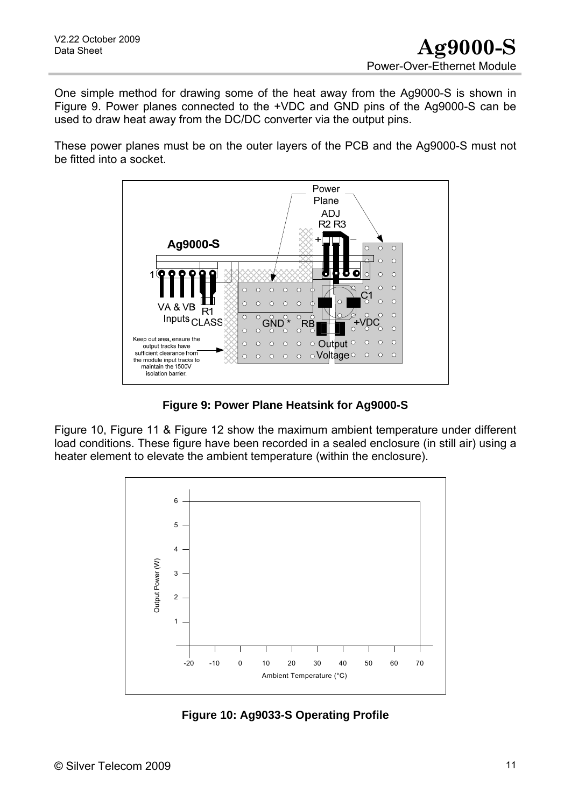One simple method for drawing some of the heat away from the Ag9000-S is shown in Figure 9. Power planes connected to the +VDC and GND pins of the Ag9000-S can be used to draw heat away from the DC/DC converter via the output pins.

These power planes must be on the outer layers of the PCB and the Ag9000-S must not be fitted into a socket.



**Figure 9: Power Plane Heatsink for Ag9000-S** 

<span id="page-10-0"></span>Figure 10, Figure 11 & Figure 12 show the maximum ambient temperature under different load conditions. These figure have been recorded in a sealed enclosure (in still air) using a heater element to elevate the ambient temperature (within the enclosure).



<span id="page-10-1"></span>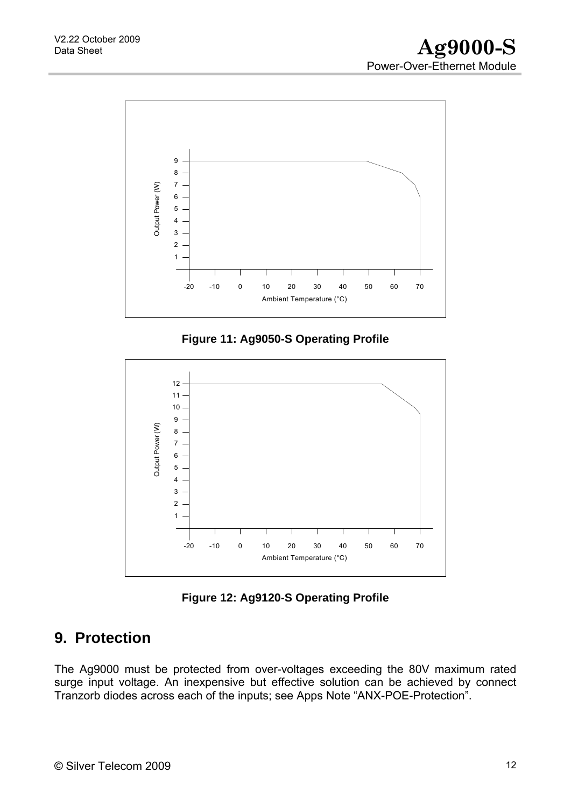

**Figure 11: Ag9050-S Operating Profile** 

<span id="page-11-1"></span>

**Figure 12: Ag9120-S Operating Profile** 

# <span id="page-11-2"></span><span id="page-11-0"></span>**9. Protection**

The Ag9000 must be protected from over-voltages exceeding the 80V maximum rated surge input voltage. An inexpensive but effective solution can be achieved by connect Tranzorb diodes across each of the inputs; see Apps Note "ANX-POE-Protection".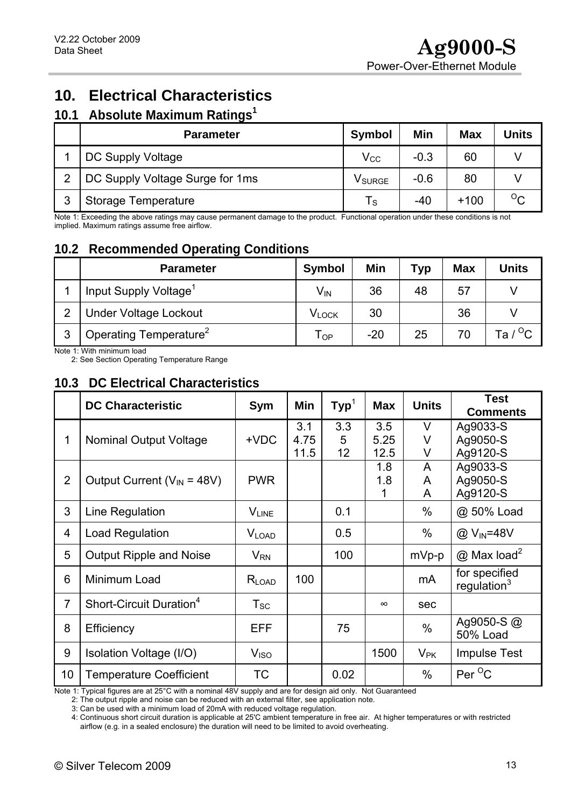# <span id="page-12-0"></span>**10. Electrical Characteristics**

### <span id="page-12-1"></span>**10.1 Absolute Maximum Ratings<sup>1</sup>**

|                | <b>Parameter</b>                | <b>Symbol</b>           | Min    | <b>Max</b> | Units   |
|----------------|---------------------------------|-------------------------|--------|------------|---------|
|                | DC Supply Voltage               | $\mathsf{V_{CC}}$       | $-0.3$ | 60         |         |
| $\overline{2}$ | DC Supply Voltage Surge for 1ms | V <sub>SURGE</sub>      | $-0.6$ | 80         |         |
| ົ              | <b>Storage Temperature</b>      | $\mathsf{T}_\mathsf{S}$ | -40    | $+100$     | $\circ$ |

Note 1: Exceeding the above ratings may cause permanent damage to the product. Functional operation under these conditions is not implied. Maximum ratings assume free airflow.

## <span id="page-12-2"></span>**10.2 Recommended Operating Conditions**

|                | <b>Parameter</b>                   | <b>Symbol</b>     | Min   | Typ | <b>Max</b> | <b>Units</b>      |
|----------------|------------------------------------|-------------------|-------|-----|------------|-------------------|
|                | Input Supply Voltage <sup>1</sup>  | $V_{IN}$          | 36    | 48  | 57         |                   |
| $\overline{2}$ | <b>Under Voltage Lockout</b>       | V <sub>LOCK</sub> | 30    |     | 36         |                   |
| ົ<br>د         | Operating Temperature <sup>2</sup> | l OP              | $-20$ | 25  |            | Ta / $^{\circ}$ C |

Note 1: With minimum load

2: See Section Operating Temperature Range

### <span id="page-12-3"></span>**10.3 DC Electrical Characteristics**

|                 | <b>DC Characteristic</b>            | Sym                        | Min                 | $\mathsf{Typ}^1$ | <b>Max</b>          | <b>Units</b>  | <b>Test</b><br><b>Comments</b>   |
|-----------------|-------------------------------------|----------------------------|---------------------|------------------|---------------------|---------------|----------------------------------|
| 1               | <b>Nominal Output Voltage</b>       | $+VDC$                     | 3.1<br>4.75<br>11.5 | 3.3<br>5<br>12   | 3.5<br>5.25<br>12.5 | V<br>V<br>V   | Ag9033-S<br>Ag9050-S<br>Ag9120-S |
| $\overline{2}$  | Output Current ( $V_{IN}$ = 48V)    | <b>PWR</b>                 |                     |                  | 1.8<br>1.8<br>1     | A<br>A<br>A   | Ag9033-S<br>Ag9050-S<br>Ag9120-S |
| 3               | Line Regulation                     | <b>VLINE</b>               |                     | 0.1              |                     | $\%$          | @ 50% Load                       |
| $\overline{4}$  | Load Regulation                     | $V_{\text{LOAD}}$          |                     | 0.5              |                     | $\%$          | @ V <sub>IN</sub> =48V           |
| 5               | <b>Output Ripple and Noise</b>      | $V_{\mathsf{RN}}$          |                     | 100              |                     | mVp-p         | $@$ Max load <sup>2</sup>        |
| $6\phantom{1}6$ | Minimum Load                        | $R_{LOAD}$                 | 100                 |                  |                     | mA            | for specified<br>regulation $3$  |
| $\overline{7}$  | Short-Circuit Duration <sup>4</sup> | $\mathsf{T}_{\mathsf{SC}}$ |                     |                  | $\infty$            | sec           |                                  |
| 8               | Efficiency                          | EFF                        |                     | 75               |                     | $\frac{0}{0}$ | Ag9050-S $@$<br><b>50% Load</b>  |
| 9               | Isolation Voltage (I/O)             | V <sub>ISO</sub>           |                     |                  | 1500                | $V_{\sf PK}$  | <b>Impulse Test</b>              |
| 10              | <b>Temperature Coefficient</b>      | <b>TC</b>                  |                     | 0.02             |                     | $\%$          | Per <sup>O</sup> C               |

Note 1: Typical figures are at 25°C with a nominal 48V supply and are for design aid only. Not Guaranteed

2: The output ripple and noise can be reduced with an external filter, see application note.

3: Can be used with a minimum load of 20mA with reduced voltage regulation.

4: Continuous short circuit duration is applicable at 25'C ambient temperature in free air. At higher temperatures or with restricted airflow (e.g. in a sealed enclosure) the duration will need to be limited to avoid overheating.